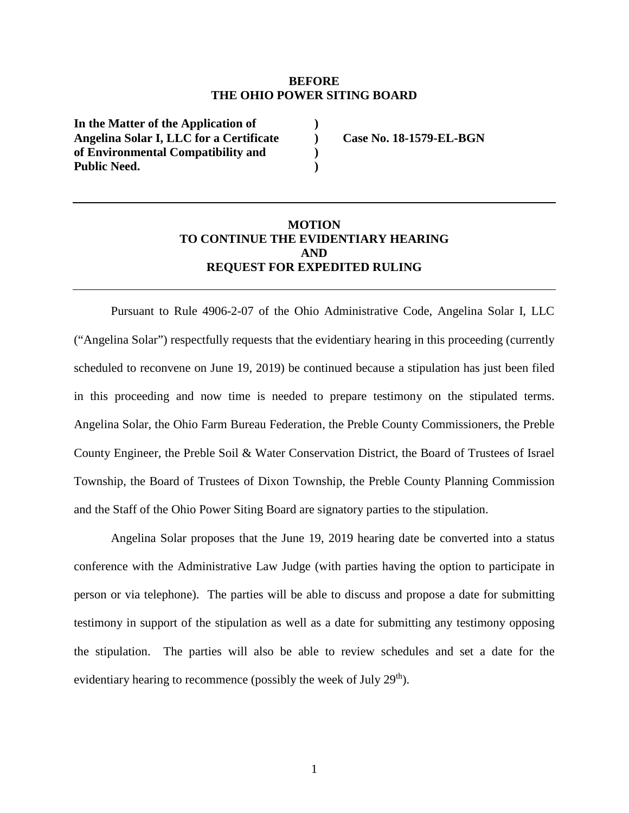## **BEFORE THE OHIO POWER SITING BOARD**

**) ) ) )** 

**In the Matter of the Application of Angelina Solar I, LLC for a Certificate of Environmental Compatibility and Public Need.** 

**Case No. 18-1579-EL-BGN** 

## **MOTION TO CONTINUE THE EVIDENTIARY HEARING AND REQUEST FOR EXPEDITED RULING**

Pursuant to Rule 4906-2-07 of the Ohio Administrative Code, Angelina Solar I, LLC ("Angelina Solar") respectfully requests that the evidentiary hearing in this proceeding (currently scheduled to reconvene on June 19, 2019) be continued because a stipulation has just been filed in this proceeding and now time is needed to prepare testimony on the stipulated terms. Angelina Solar, the Ohio Farm Bureau Federation, the Preble County Commissioners, the Preble County Engineer, the Preble Soil & Water Conservation District, the Board of Trustees of Israel Township, the Board of Trustees of Dixon Township, the Preble County Planning Commission and the Staff of the Ohio Power Siting Board are signatory parties to the stipulation.

Angelina Solar proposes that the June 19, 2019 hearing date be converted into a status conference with the Administrative Law Judge (with parties having the option to participate in person or via telephone). The parties will be able to discuss and propose a date for submitting testimony in support of the stipulation as well as a date for submitting any testimony opposing the stipulation. The parties will also be able to review schedules and set a date for the evidentiary hearing to recommence (possibly the week of July 29<sup>th</sup>).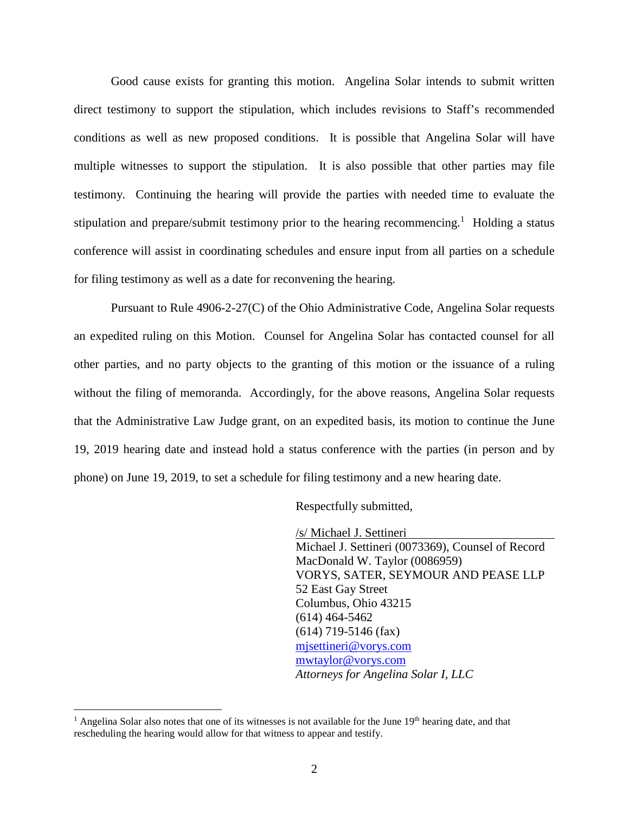Good cause exists for granting this motion. Angelina Solar intends to submit written direct testimony to support the stipulation, which includes revisions to Staff's recommended conditions as well as new proposed conditions. It is possible that Angelina Solar will have multiple witnesses to support the stipulation. It is also possible that other parties may file testimony. Continuing the hearing will provide the parties with needed time to evaluate the stipulation and prepare/submit testimony prior to the hearing recommencing.<sup>1</sup> Holding a status conference will assist in coordinating schedules and ensure input from all parties on a schedule for filing testimony as well as a date for reconvening the hearing.

Pursuant to Rule 4906-2-27(C) of the Ohio Administrative Code, Angelina Solar requests an expedited ruling on this Motion. Counsel for Angelina Solar has contacted counsel for all other parties, and no party objects to the granting of this motion or the issuance of a ruling without the filing of memoranda. Accordingly, for the above reasons, Angelina Solar requests that the Administrative Law Judge grant, on an expedited basis, its motion to continue the June 19, 2019 hearing date and instead hold a status conference with the parties (in person and by phone) on June 19, 2019, to set a schedule for filing testimony and a new hearing date.

Respectfully submitted,

/s/ Michael J. Settineri Michael J. Settineri (0073369), Counsel of Record MacDonald W. Taylor (0086959) VORYS, SATER, SEYMOUR AND PEASE LLP 52 East Gay Street Columbus, Ohio 43215 (614) 464-5462 (614) 719-5146 (fax) mjsettineri@vorys.com mwtaylor@vorys.com *Attorneys for Angelina Solar I, LLC* 

<sup>&</sup>lt;sup>1</sup> Angelina Solar also notes that one of its witnesses is not available for the June  $19<sup>th</sup>$  hearing date, and that rescheduling the hearing would allow for that witness to appear and testify.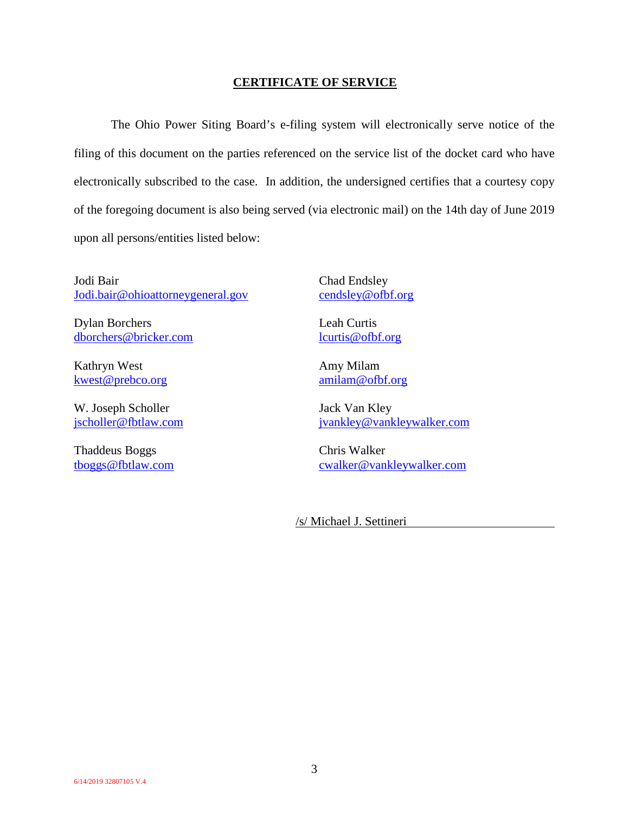## **CERTIFICATE OF SERVICE**

The Ohio Power Siting Board's e-filing system will electronically serve notice of the filing of this document on the parties referenced on the service list of the docket card who have electronically subscribed to the case. In addition, the undersigned certifies that a courtesy copy of the foregoing document is also being served (via electronic mail) on the 14th day of June 2019 upon all persons/entities listed below:

Jodi Bair Jodi.bair@ohioattorneygeneral.gov

Dylan Borchers dborchers@bricker.com

Kathryn West kwest@prebco.org

W. Joseph Scholler jscholler@fbtlaw.com

Thaddeus Boggs tboggs@fbtlaw.com Chad Endsley cendsley@ofbf.org

Leah Curtis lcurtis@ofbf.org

Amy Milam amilam@ofbf.org

Jack Van Kley jvankley@vankleywalker.com

Chris Walker cwalker@vankleywalker.com

/s/ Michael J. Settineri